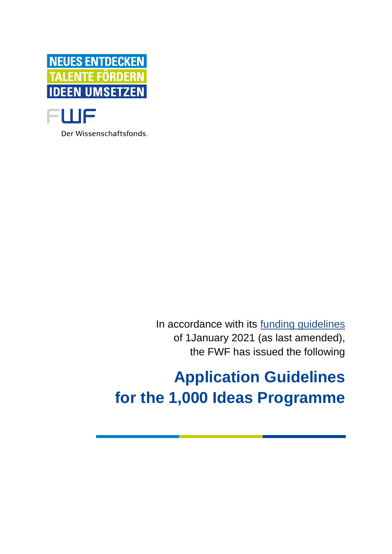

Der Wissenschaftsfonds.

In accordance with its [funding guidelines](https://www.fwf.ac.at/en/research-funding/decision-making-procedure-evaluation/funding-guidelines/) of 1January 2021 (as last amended), the FWF has issued the following

# **Application Guidelines for the 1,000 Ideas Programme**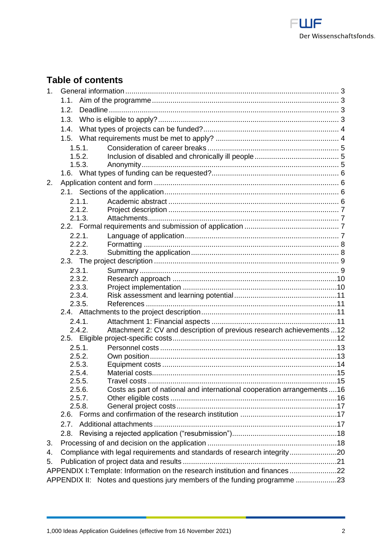

# **Table of contents**

| 1.1.<br>1.2.<br>1.3.<br>1.4.<br>1.5.<br>1.5.1.<br>1.5.2.<br>1.5.3.<br>2.<br>2.1.1.<br>2.1.2.<br>2.1.3.<br>2.2.1.<br>2.2.2.<br>2.2.3.<br>2.3.1.<br>2.3.2.<br>2.3.3.<br>2.3.4.<br>2.3.5.<br>2.4.1.<br>Attachment 2: CV and description of previous research achievements  12<br>2.4.2.<br>2.5.1.<br>2.5.2.<br>2.5.3.<br>2.5.4.<br>2.5.5<br>Travel costs<br>Costs as part of national and international cooperation arrangements16<br>2.5.6.<br>2.5.7.<br>2.5.8.<br>2.6.<br>2.7.<br>2.8.<br>З.<br>Compliance with legal requirements and standards of research integrity20 | 1 <sub>1</sub> |                                                                           |  |  |  |  |
|-------------------------------------------------------------------------------------------------------------------------------------------------------------------------------------------------------------------------------------------------------------------------------------------------------------------------------------------------------------------------------------------------------------------------------------------------------------------------------------------------------------------------------------------------------------------------|----------------|---------------------------------------------------------------------------|--|--|--|--|
|                                                                                                                                                                                                                                                                                                                                                                                                                                                                                                                                                                         |                |                                                                           |  |  |  |  |
|                                                                                                                                                                                                                                                                                                                                                                                                                                                                                                                                                                         |                |                                                                           |  |  |  |  |
|                                                                                                                                                                                                                                                                                                                                                                                                                                                                                                                                                                         |                |                                                                           |  |  |  |  |
|                                                                                                                                                                                                                                                                                                                                                                                                                                                                                                                                                                         |                |                                                                           |  |  |  |  |
|                                                                                                                                                                                                                                                                                                                                                                                                                                                                                                                                                                         |                |                                                                           |  |  |  |  |
|                                                                                                                                                                                                                                                                                                                                                                                                                                                                                                                                                                         |                |                                                                           |  |  |  |  |
|                                                                                                                                                                                                                                                                                                                                                                                                                                                                                                                                                                         |                |                                                                           |  |  |  |  |
|                                                                                                                                                                                                                                                                                                                                                                                                                                                                                                                                                                         |                |                                                                           |  |  |  |  |
|                                                                                                                                                                                                                                                                                                                                                                                                                                                                                                                                                                         |                |                                                                           |  |  |  |  |
|                                                                                                                                                                                                                                                                                                                                                                                                                                                                                                                                                                         |                |                                                                           |  |  |  |  |
|                                                                                                                                                                                                                                                                                                                                                                                                                                                                                                                                                                         |                |                                                                           |  |  |  |  |
|                                                                                                                                                                                                                                                                                                                                                                                                                                                                                                                                                                         |                |                                                                           |  |  |  |  |
|                                                                                                                                                                                                                                                                                                                                                                                                                                                                                                                                                                         |                |                                                                           |  |  |  |  |
|                                                                                                                                                                                                                                                                                                                                                                                                                                                                                                                                                                         |                |                                                                           |  |  |  |  |
|                                                                                                                                                                                                                                                                                                                                                                                                                                                                                                                                                                         |                |                                                                           |  |  |  |  |
|                                                                                                                                                                                                                                                                                                                                                                                                                                                                                                                                                                         |                |                                                                           |  |  |  |  |
|                                                                                                                                                                                                                                                                                                                                                                                                                                                                                                                                                                         |                |                                                                           |  |  |  |  |
|                                                                                                                                                                                                                                                                                                                                                                                                                                                                                                                                                                         |                |                                                                           |  |  |  |  |
|                                                                                                                                                                                                                                                                                                                                                                                                                                                                                                                                                                         |                |                                                                           |  |  |  |  |
|                                                                                                                                                                                                                                                                                                                                                                                                                                                                                                                                                                         |                |                                                                           |  |  |  |  |
|                                                                                                                                                                                                                                                                                                                                                                                                                                                                                                                                                                         |                |                                                                           |  |  |  |  |
|                                                                                                                                                                                                                                                                                                                                                                                                                                                                                                                                                                         |                |                                                                           |  |  |  |  |
|                                                                                                                                                                                                                                                                                                                                                                                                                                                                                                                                                                         |                |                                                                           |  |  |  |  |
|                                                                                                                                                                                                                                                                                                                                                                                                                                                                                                                                                                         |                |                                                                           |  |  |  |  |
|                                                                                                                                                                                                                                                                                                                                                                                                                                                                                                                                                                         |                |                                                                           |  |  |  |  |
|                                                                                                                                                                                                                                                                                                                                                                                                                                                                                                                                                                         |                |                                                                           |  |  |  |  |
|                                                                                                                                                                                                                                                                                                                                                                                                                                                                                                                                                                         |                |                                                                           |  |  |  |  |
|                                                                                                                                                                                                                                                                                                                                                                                                                                                                                                                                                                         |                |                                                                           |  |  |  |  |
|                                                                                                                                                                                                                                                                                                                                                                                                                                                                                                                                                                         |                |                                                                           |  |  |  |  |
|                                                                                                                                                                                                                                                                                                                                                                                                                                                                                                                                                                         |                |                                                                           |  |  |  |  |
|                                                                                                                                                                                                                                                                                                                                                                                                                                                                                                                                                                         |                |                                                                           |  |  |  |  |
|                                                                                                                                                                                                                                                                                                                                                                                                                                                                                                                                                                         |                |                                                                           |  |  |  |  |
|                                                                                                                                                                                                                                                                                                                                                                                                                                                                                                                                                                         |                |                                                                           |  |  |  |  |
|                                                                                                                                                                                                                                                                                                                                                                                                                                                                                                                                                                         |                |                                                                           |  |  |  |  |
|                                                                                                                                                                                                                                                                                                                                                                                                                                                                                                                                                                         |                |                                                                           |  |  |  |  |
|                                                                                                                                                                                                                                                                                                                                                                                                                                                                                                                                                                         |                |                                                                           |  |  |  |  |
|                                                                                                                                                                                                                                                                                                                                                                                                                                                                                                                                                                         |                |                                                                           |  |  |  |  |
|                                                                                                                                                                                                                                                                                                                                                                                                                                                                                                                                                                         |                |                                                                           |  |  |  |  |
|                                                                                                                                                                                                                                                                                                                                                                                                                                                                                                                                                                         |                |                                                                           |  |  |  |  |
|                                                                                                                                                                                                                                                                                                                                                                                                                                                                                                                                                                         | 4.             |                                                                           |  |  |  |  |
| 5.                                                                                                                                                                                                                                                                                                                                                                                                                                                                                                                                                                      |                |                                                                           |  |  |  |  |
|                                                                                                                                                                                                                                                                                                                                                                                                                                                                                                                                                                         |                |                                                                           |  |  |  |  |
|                                                                                                                                                                                                                                                                                                                                                                                                                                                                                                                                                                         |                |                                                                           |  |  |  |  |
| APPENDIX I: Template: Information on the research institution and finances22                                                                                                                                                                                                                                                                                                                                                                                                                                                                                            |                | APPENDIX II: Notes and questions jury members of the funding programme 23 |  |  |  |  |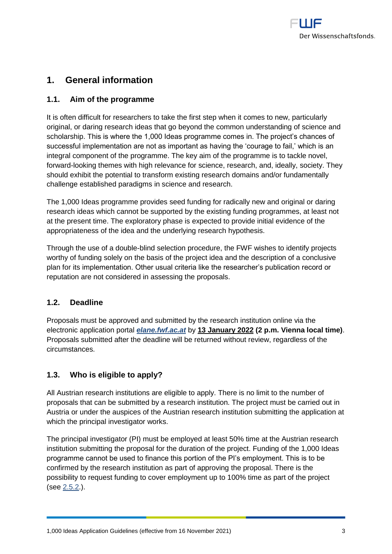

# <span id="page-2-0"></span>**1. General information**

## <span id="page-2-1"></span>**1.1. Aim of the programme**

It is often difficult for researchers to take the first step when it comes to new, particularly original, or daring research ideas that go beyond the common understanding of science and scholarship. This is where the 1,000 Ideas programme comes in. The project's chances of successful implementation are not as important as having the 'courage to fail,' which is an integral component of the programme. The key aim of the programme is to tackle novel, forward-looking themes with high relevance for science, research, and, ideally, society. They should exhibit the potential to transform existing research domains and/or fundamentally challenge established paradigms in science and research.

The 1,000 Ideas programme provides seed funding for radically new and original or daring research ideas which cannot be supported by the existing funding programmes, at least not at the present time. The exploratory phase is expected to provide initial evidence of the appropriateness of the idea and the underlying research hypothesis.

Through the use of a double-blind selection procedure, the FWF wishes to identify projects worthy of funding solely on the basis of the project idea and the description of a conclusive plan for its implementation. Other usual criteria like the researcher's publication record or reputation are not considered in assessing the proposals.

## <span id="page-2-2"></span>**1.2. Deadline**

Proposals must be approved and submitted by the research institution online via the electronic application portal *[elane.fwf.ac.at](https://elane.fwf.ac.at/)* by **13 January 2022 (2 p.m. Vienna local time)**. Proposals submitted after the deadline will be returned without review, regardless of the circumstances.

## <span id="page-2-3"></span>**1.3. Who is eligible to apply?**

All Austrian research institutions are eligible to apply. There is no limit to the number of proposals that can be submitted by a research institution. The project must be carried out in Austria or under the auspices of the Austrian research institution submitting the application at which the principal investigator works.

The principal investigator (PI) must be employed at least 50% time at the Austrian research institution submitting the proposal for the duration of the project. Funding of the 1,000 Ideas programme cannot be used to finance this portion of the PI's employment. This is to be confirmed by the research institution as part of approving the proposal. There is the possibility to request funding to cover employment up to 100% time as part of the project (see [2.5.2.](#page-12-1)).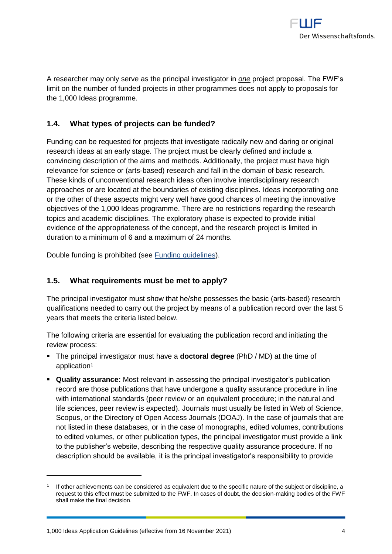

A researcher may only serve as the principal investigator in *one* project proposal. The FWF's limit on the number of funded projects in other programmes does not apply to proposals for the 1,000 Ideas programme.

## <span id="page-3-0"></span>**1.4. What types of projects can be funded?**

Funding can be requested for projects that investigate radically new and daring or original research ideas at an early stage. The project must be clearly defined and include a convincing description of the aims and methods. Additionally, the project must have high relevance for science or (arts-based) research and fall in the domain of basic research. These kinds of unconventional research ideas often involve interdisciplinary research approaches or are located at the boundaries of existing disciplines. Ideas incorporating one or the other of these aspects might very well have good chances of meeting the innovative objectives of the 1,000 Ideas programme. There are no restrictions regarding the research topics and academic disciplines. The exploratory phase is expected to provide initial evidence of the appropriateness of the concept, and the research project is limited in duration to a minimum of 6 and a maximum of 24 months.

<span id="page-3-1"></span>Double funding is prohibited (see [Funding guidelines\)](https://www.fwf.ac.at/fileadmin/files/Dokumente/Ueber_den_FWF/Publikationen/FWF-relevante_Publikationen/fwf_funding_guidelines.pdf).

## **1.5. What requirements must be met to apply?**

The principal investigator must show that he/she possesses the basic (arts-based) research qualifications needed to carry out the project by means of a publication record over the last 5 years that meets the criteria listed below.

The following criteria are essential for evaluating the publication record and initiating the review process:

- The principal investigator must have a **doctoral degree** (PhD / MD) at the time of application<sup>1</sup>
- **Quality assurance:** Most relevant in assessing the principal investigator's publication record are those publications that have undergone a quality assurance procedure in line with international standards (peer review or an equivalent procedure; in the natural and life sciences, peer review is expected). Journals must usually be listed in Web of Science, Scopus, or the Directory of Open Access Journals (DOAJ). In the case of journals that are not listed in these databases, or in the case of monographs, edited volumes, contributions to edited volumes, or other publication types, the principal investigator must provide a link to the publisher's website, describing the respective quality assurance procedure. If no description should be available, it is the principal investigator's responsibility to provide

<sup>1</sup> If other achievements can be considered as equivalent due to the specific nature of the subject or discipline, a request to this effect must be submitted to the FWF. In cases of doubt, the decision-making bodies of the FWF shall make the final decision.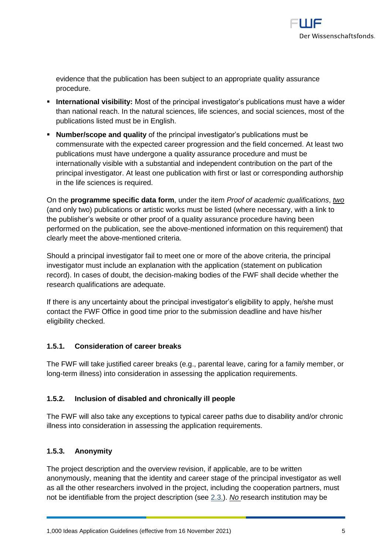

evidence that the publication has been subject to an appropriate quality assurance procedure.

- **International visibility:** Most of the principal investigator's publications must have a wider than national reach. In the natural sciences, life sciences, and social sciences, most of the publications listed must be in English.
- **Number/scope and quality** of the principal investigator's publications must be commensurate with the expected career progression and the field concerned. At least two publications must have undergone a quality assurance procedure and must be internationally visible with a substantial and independent contribution on the part of the principal investigator. At least one publication with first or last or corresponding authorship in the life sciences is required.

On the **programme specific data form**, under the item *Proof of academic qualifications*, *two* (and only two) publications or artistic works must be listed (where necessary, with a link to the publisher's website or other proof of a quality assurance procedure having been performed on the publication, see the above-mentioned information on this requirement) that clearly meet the above-mentioned criteria.

Should a principal investigator fail to meet one or more of the above criteria, the principal investigator must include an explanation with the application (statement on publication record). In cases of doubt, the decision-making bodies of the FWF shall decide whether the research qualifications are adequate.

If there is any uncertainty about the principal investigator's eligibility to apply, he/she must contact the FWF Office in good time prior to the submission deadline and have his/her eligibility checked.

## <span id="page-4-0"></span>**1.5.1. Consideration of career breaks**

The FWF will take justified career breaks (e.g., parental leave, caring for a family member, or long-term illness) into consideration in assessing the application requirements.

## <span id="page-4-1"></span>**1.5.2. Inclusion of disabled and chronically ill people**

The FWF will also take any exceptions to typical career paths due to disability and/or chronic illness into consideration in assessing the application requirements.

## <span id="page-4-2"></span>**1.5.3. Anonymity**

The project description and the overview revision, if applicable, are to be written anonymously, meaning that the identity and career stage of the principal investigator as well as all the other researchers involved in the project, including the cooperation partners, must not be identifiable from the project description (see [2.3.\)](#page-8-0). *No* research institution may be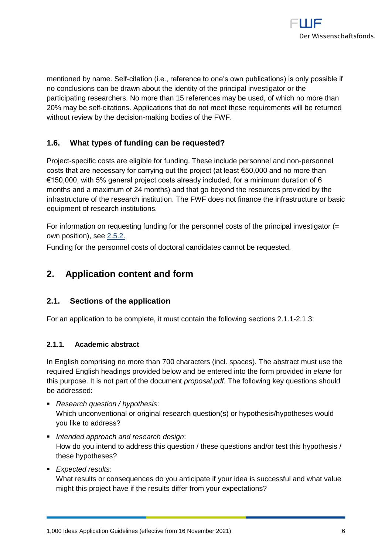

mentioned by name. Self-citation (i.e., reference to one's own publications) is only possible if no conclusions can be drawn about the identity of the principal investigator or the participating researchers. No more than 15 references may be used, of which no more than 20% may be self-citations. Applications that do not meet these requirements will be returned without review by the decision-making bodies of the FWF.

## <span id="page-5-0"></span>**1.6. What types of funding can be requested?**

Project-specific costs are eligible for funding. These include personnel and non-personnel costs that are necessary for carrying out the project (at least  $€50,000$  and no more than  $€150,000$ , with 5% general project costs already included, for a minimum duration of 6 months and a maximum of 24 months) and that go beyond the resources provided by the infrastructure of the research institution. The FWF does not finance the infrastructure or basic equipment of research institutions.

For information on requesting funding for the personnel costs of the principal investigator (= own position), see [2.5.2.](#page-12-1)

<span id="page-5-1"></span>Funding for the personnel costs of doctoral candidates cannot be requested.

## **2. Application content and form**

## <span id="page-5-2"></span>**2.1. Sections of the application**

<span id="page-5-3"></span>For an application to be complete, it must contain the following sections 2.1.1-2.1.3:

## **2.1.1. Academic abstract**

In English comprising no more than 700 characters (incl. spaces). The abstract must use the required English headings provided below and be entered into the form provided in *elane* for this purpose. It is not part of the document *proposal.pdf.* The following key questions should be addressed:

- *Research question / hypothesis*: Which unconventional or original research question(s) or hypothesis/hypotheses would you like to address?
- *Intended approach and research design*: How do you intend to address this question / these questions and/or test this hypothesis / these hypotheses?
- *Expected results:*

What results or consequences do you anticipate if your idea is successful and what value might this project have if the results differ from your expectations?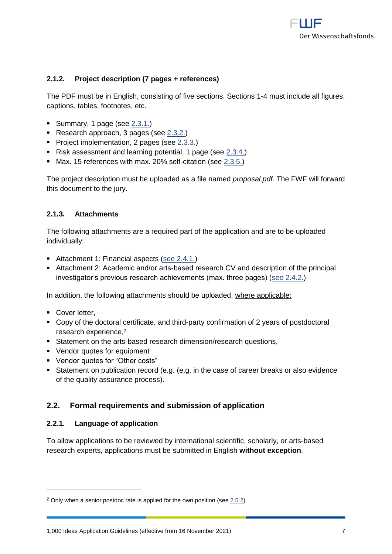

## <span id="page-6-0"></span>**2.1.2. Project description (7 pages + references)**

The PDF must be in English, consisting of five sections. Sections 1-4 must include all figures, captions, tables, footnotes, etc.

- Summary, 1 page (see [2.3.1.\)](#page-8-1)
- Research approach, 3 pages (see [2.3.2.\)](#page-9-0)
- Project implementation, 2 pages (see [2.3.3.\)](#page-9-1)
- Risk assessment and learning potential, 1 page (see [2.3.4.\)](#page-10-0)
- **■** Max. 15 references with max. 20% self-citation (see  $2.3.5$ .)

The project description must be uploaded as a file named *proposal.pdf.* The FWF will forward this document to the jury.

## <span id="page-6-1"></span>**2.1.3. Attachments**

The following attachments are a required part of the application and are to be uploaded individually:

- Attachment 1: Financial aspects [\(see 2.4.1.\)](#page-21-0)
- Attachment 2: Academic and/or arts-based research CV and description of the principal investigator's previous research achievements (max. three pages) [\(see 2.4.2.\)](#page-22-0)

In addition, the following attachments should be uploaded, where applicable:

■ Cover letter,

- Copy of the doctoral certificate, and third-party confirmation of 2 years of postdoctoral research experience,<sup>2</sup>
- Statement on the arts-based research dimension/research questions,
- Vendor quotes for equipment
- Vendor quotes for "Other costs"
- Statement on publication record (e.g. (e.g. in the case of career breaks or also evidence of the quality assurance process).

## <span id="page-6-2"></span>**2.2. Formal requirements and submission of application**

## <span id="page-6-3"></span>**2.2.1. Language of application**

To allow applications to be reviewed by international scientific, scholarly, or arts-based research experts, applications must be submitted in English **without exception**.

 $2$  Only when a senior postdoc rate is applied for the own position (se[e 2.5.2\)](#page-12-1).

<sup>1,000</sup> Ideas Application Guidelines (effective from 16 November 2021) 7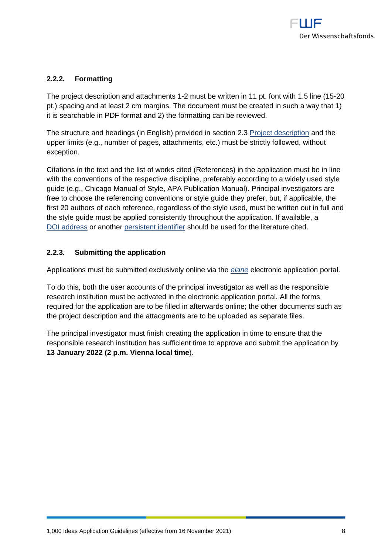

## <span id="page-7-0"></span>**2.2.2. Formatting**

The project description and attachments 1-2 must be written in 11 pt. font with 1.5 line (15-20 pt.) spacing and at least 2 cm margins. The document must be created in such a way that 1) it is searchable in PDF format and 2) the formatting can be reviewed.

The structure and headings (in English) provided in section 2.3 [Project description](#page-8-0) and the upper limits (e.g., number of pages, attachments, etc.) must be strictly followed, without exception.

Citations in the text and the list of works cited (References) in the application must be in line with the conventions of the respective discipline, preferably according to a widely used style guide (e.g., Chicago Manual of Style, APA Publication Manual). Principal investigators are free to choose the referencing conventions or style guide they prefer, but, if applicable, the first 20 authors of each reference, regardless of the style used, must be written out in full and the style guide must be applied consistently throughout the application. If available, a [DOI address](http://www.doi.org/index.html) or another [persistent identifier](https://en.wikipedia.org/wiki/Persistent_identifier) should be used for the literature cited.

## <span id="page-7-1"></span>**2.2.3. Submitting the application**

Applications must be submitted exclusively online via the *[elane](https://elane.fwf.ac.at/)* electronic application portal.

To do this, both the user accounts of the principal investigator as well as the responsible research institution must be activated in the electronic application portal. All the forms required for the application are to be filled in afterwards online; the other documents such as the project description and the attacgments are to be uploaded as separate files.

The principal investigator must finish creating the application in time to ensure that the responsible research institution has sufficient time to approve and submit the application by **13 January 2022 (2 p.m. Vienna local time**).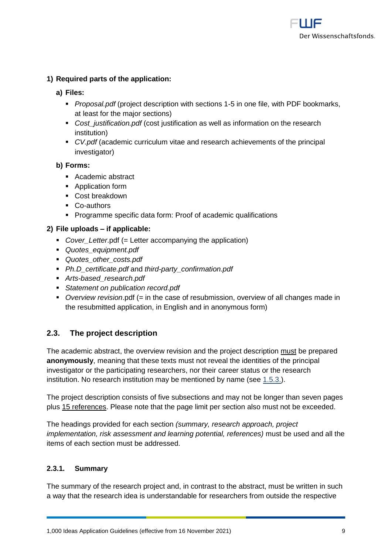

## **1) Required parts of the application:**

#### **a) Files:**

- **Proposal.pdf** (project description with sections 1-5 in one file, with PDF bookmarks, at least for the major sections)
- *Cost\_justification.pdf* (cost justification as well as information on the research institution)
- *CV.pdf* (academic curriculum vitae and research achievements of the principal investigator)

#### **b) Forms:**

- Academic abstract
- Application form
- Cost breakdown
- Co-authors
- Programme specific data form: Proof of academic qualifications

## **2) File uploads – if applicable:**

- *Cover\_Letter.pdf* (= Letter accompanying the application)
- *Quotes\_equipment.pdf*
- *Quotes\_other\_costs.pdf*
- *Ph.D\_certificate.pdf* and *third-party\_confirmation.pdf*
- *Arts-based\_research.pdf*
- *Statement on publication record.pdf*
- *Overview revision*.pdf (= in the case of resubmission, overview of all changes made in the resubmitted application, in English and in anonymous form)

## <span id="page-8-0"></span>**2.3. The project description**

The academic abstract, the overview revision and the project description must be prepared **anonymously**, meaning that these texts must not reveal the identities of the principal investigator or the participating researchers, nor their career status or the research institution. No research institution may be mentioned by name (see [1.5.3.\)](#page-4-2).

The project description consists of five subsections and may not be longer than seven pages plus 15 references. Please note that the page limit per section also must not be exceeded.

The headings provided for each section *(summary, research approach, project implementation, risk assessment and learning potential, references)* must be used and all the items of each section must be addressed.

## <span id="page-8-1"></span>**2.3.1. Summary**

The summary of the research project and, in contrast to the abstract, must be written in such a way that the research idea is understandable for researchers from outside the respective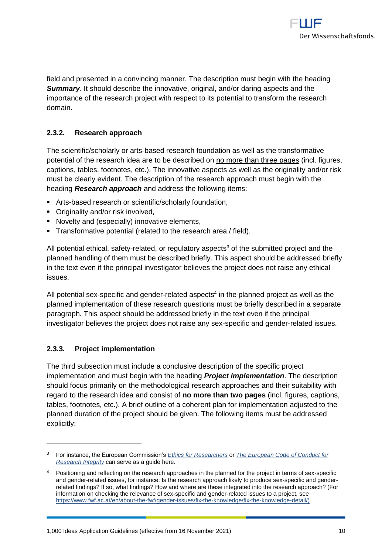

field and presented in a convincing manner. The description must begin with the heading *Summary*. It should describe the innovative, original, and/or daring aspects and the importance of the research project with respect to its potential to transform the research domain.

## <span id="page-9-0"></span>**2.3.2. Research approach**

The scientific/scholarly or arts-based research foundation as well as the transformative potential of the research idea are to be described on no more than three pages (incl. figures, captions, tables, footnotes, etc.). The innovative aspects as well as the originality and/or risk must be clearly evident. The description of the research approach must begin with the heading *Research approach* and address the following items:

- **EXECT:** Arts-based research or scientific/scholarly foundation,
- Originality and/or risk involved,
- **E** Novelty and (especially) innovative elements,
- **•** Transformative potential (related to the research area / field).

All potential ethical, safety-related, or regulatory aspects<sup>3</sup> of the submitted project and the planned handling of them must be described briefly. This aspect should be addressed briefly in the text even if the principal investigator believes the project does not raise any ethical issues.

All potential sex-specific and gender-related aspects<sup>4</sup> in the planned project as well as the planned implementation of these research questions must be briefly described in a separate paragraph. This aspect should be addressed briefly in the text even if the principal investigator believes the project does not raise any sex-specific and gender-related issues.

## <span id="page-9-1"></span>**2.3.3. Project implementation**

 $\overline{a}$ 

The third subsection must include a conclusive description of the specific project implementation and must begin with the heading *Project implementation*. The description should focus primarily on the methodological research approaches and their suitability with regard to the research idea and consist of **no more than two pages** (incl. figures, captions, tables, footnotes, etc.). A brief outline of a coherent plan for implementation adjusted to the planned duration of the project should be given. The following items must be addressed explicitly:

<sup>3</sup> For instance, the European Commission's *[Ethics for Researchers](http://ec.europa.eu/research/participants/data/ref/fp7/89888/ethics-for-researchers_en.pdf)* or *[The European Code of Conduct for](https://ec.europa.eu/research/participants/data/ref/h2020/other/hi/h2020-ethics_code-of-conduct_en.pdf)  [Research Integrity](https://ec.europa.eu/research/participants/data/ref/h2020/other/hi/h2020-ethics_code-of-conduct_en.pdf)* can serve as a guide here.

<sup>&</sup>lt;sup>4</sup> Positioning and reflecting on the research approaches in the planned for the project in terms of sex-specific and gender-related issues, for instance: Is the research approach likely to produce sex-specific and genderrelated findings? If so, what findings? How and where are these integrated into the research approach? (For information on checking the relevance of sex-specific and gender-related issues to a project, see [https://www.fwf.ac.at/en/about-the-fwf/gender-issues/fix-the-knowledge/fix-the-knowledge-detail/\)](https://www.fwf.ac.at/en/about-the-fwf/gender-issues/fix-the-knowledge/fix-the-knowledge-detail/)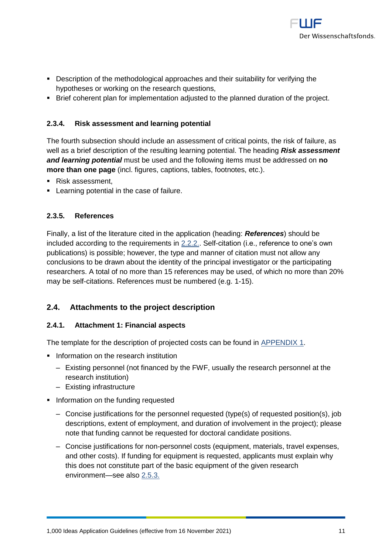

- **•** Description of the methodological approaches and their suitability for verifying the hypotheses or working on the research questions,
- <span id="page-10-0"></span>▪ Brief coherent plan for implementation adjusted to the planned duration of the project.

## **2.3.4. Risk assessment and learning potential**

The fourth subsection should include an assessment of critical points, the risk of failure, as well as a brief description of the resulting learning potential. The heading *Risk assessment and learning potential* must be used and the following items must be addressed on **no more than one page** (incl. figures, captions, tables, footnotes, etc.).

- Risk assessment.
- <span id="page-10-1"></span>■ Learning potential in the case of failure.

## **2.3.5. References**

Finally, a list of the literature cited in the application (heading: *References*) should be included according to the requirements in [2.2.2.](#page-7-0). Self-citation (i.e., reference to one's own publications) is possible; however, the type and manner of citation must not allow any conclusions to be drawn about the identity of the principal investigator or the participating researchers. A total of no more than 15 references may be used, of which no more than 20% may be self-citations. References must be numbered (e.g. 1-15).

## <span id="page-10-2"></span>**2.4. Attachments to the project description**

## <span id="page-10-3"></span>**2.4.1. Attachment 1: Financial aspects**

The template for the description of projected costs can be found in [APPENDIX 1.](#page-21-0)

- **Information on the research institution** 
	- ‒ Existing personnel (not financed by the FWF, usually the research personnel at the research institution)
	- ‒ Existing infrastructure
- **·** Information on the funding requested
	- ‒ Concise justifications for the personnel requested (type(s) of requested position(s), job descriptions, extent of employment, and duration of involvement in the project); please note that funding cannot be requested for doctoral candidate positions.
	- ‒ Concise justifications for non-personnel costs (equipment, materials, travel expenses, and other costs). If funding for equipment is requested, applicants must explain why this does not constitute part of the basic equipment of the given research environment—see also [2.5.3.](#page-13-0)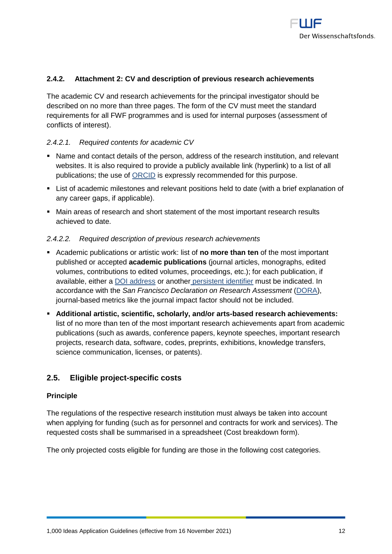

## <span id="page-11-0"></span>**2.4.2. Attachment 2: CV and description of previous research achievements**

The academic CV and research achievements for the principal investigator should be described on no more than three pages. The form of the CV must meet the standard requirements for all FWF programmes and is used for internal purposes (assessment of conflicts of interest).

#### *2.4.2.1. Required contents for academic CV*

- Name and contact details of the person, address of the research institution, and relevant websites. It is also required to provide a publicly available link (hyperlink) to a list of all publications; the use of [ORCID](https://orcid.org/) is expressly recommended for this purpose.
- List of academic milestones and relevant positions held to date (with a brief explanation of any career gaps, if applicable).
- Main areas of research and short statement of the most important research results achieved to date.

#### *2.4.2.2. Required description of previous research achievements*

- Academic publications or artistic work: list of **no more than ten** of the most important published or accepted **academic publications** (journal articles, monographs, edited volumes, contributions to edited volumes, proceedings, etc.); for each publication, if available, either a [DOI address](http://www.doi.org/) or another [persistent identifier](http://en.wikipedia.org/wiki/Persistent_identifier) must be indicated. In accordance with the *San Francisco Declaration on Research Assessment* [\(DORA\)](https://sfdora.org/), journal-based metrics like the journal impact factor should not be included.
- **Additional artistic, scientific, scholarly, and/or arts-based research achievements:** list of no more than ten of the most important research achievements apart from academic publications (such as awards, conference papers, keynote speeches, important research projects, research data, software, codes, preprints, exhibitions, knowledge transfers, science communication, licenses, or patents).

## <span id="page-11-1"></span>**2.5. Eligible project-specific costs**

#### **Principle**

The regulations of the respective research institution must always be taken into account when applying for funding (such as for personnel and contracts for work and services). The requested costs shall be summarised in a spreadsheet (Cost breakdown form).

The only projected costs eligible for funding are those in the following cost categories.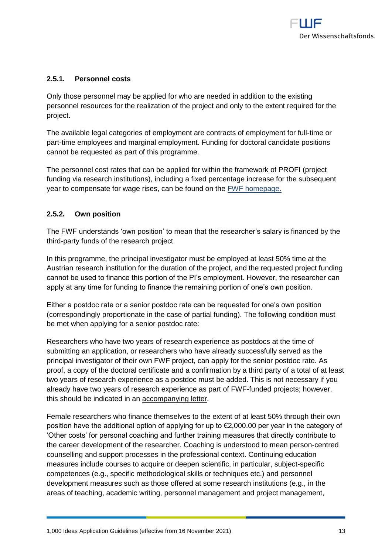

## <span id="page-12-0"></span>**2.5.1. Personnel costs**

Only those personnel may be applied for who are needed in addition to the existing personnel resources for the realization of the project and only to the extent required for the project.

The available legal categories of employment are contracts of employment for full-time or part-time employees and marginal employment. Funding for doctoral candidate positions cannot be requested as part of this programme.

The personnel cost rates that can be applied for within the framework of PROFI (project funding via research institutions), including a fixed percentage increase for the subsequent year to compensate for wage rises, can be found on the [FWF homepage.](https://www.fwf.ac.at/fileadmin/files/Dokumente/Personalkostensaetze/pek-2020_profi.PDF)

## <span id="page-12-1"></span>**2.5.2. Own position**

The FWF understands 'own position' to mean that the researcher's salary is financed by the third-party funds of the research project.

In this programme, the principal investigator must be employed at least 50% time at the Austrian research institution for the duration of the project, and the requested project funding cannot be used to finance this portion of the PI's employment. However, the researcher can apply at any time for funding to finance the remaining portion of one's own position.

Either a postdoc rate or a senior postdoc rate can be requested for one's own position (correspondingly proportionate in the case of partial funding). The following condition must be met when applying for a senior postdoc rate:

Researchers who have two years of research experience as postdocs at the time of submitting an application, or researchers who have already successfully served as the principal investigator of their own FWF project, can apply for the senior postdoc rate. As proof, a copy of the doctoral certificate and a confirmation by a third party of a total of at least two years of research experience as a postdoc must be added. This is not necessary if you already have two years of research experience as part of FWF-funded projects; however, this should be indicated in an accompanying letter.

Female researchers who finance themselves to the extent of at least 50% through their own position have the additional option of applying for up to €2,000.00 per year in the category of 'Other costs' for personal coaching and further training measures that directly contribute to the career development of the researcher. Coaching is understood to mean person-centred counselling and support processes in the professional context. Continuing education measures include courses to acquire or deepen scientific, in particular, subject-specific competences (e.g., specific methodological skills or techniques etc.) and personnel development measures such as those offered at some research institutions (e.g., in the areas of teaching, academic writing, personnel management and project management,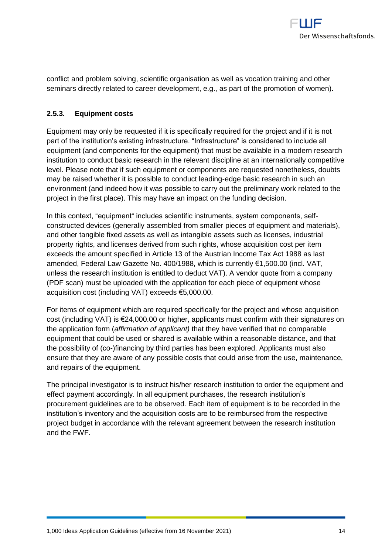

conflict and problem solving, scientific organisation as well as vocation training and other seminars directly related to career development, e.g., as part of the promotion of women).

## <span id="page-13-0"></span>**2.5.3. Equipment costs**

Equipment may only be requested if it is specifically required for the project and if it is not part of the institution's existing infrastructure. "Infrastructure" is considered to include all equipment (and components for the equipment) that must be available in a modern research institution to conduct basic research in the relevant discipline at an internationally competitive level. Please note that if such equipment or components are requested nonetheless, doubts may be raised whether it is possible to conduct leading-edge basic research in such an environment (and indeed how it was possible to carry out the preliminary work related to the project in the first place). This may have an impact on the funding decision.

In this context, "equipment" includes scientific instruments, system components, selfconstructed devices (generally assembled from smaller pieces of equipment and materials), and other tangible fixed assets as well as intangible assets such as licenses, industrial property rights, and licenses derived from such rights, whose acquisition cost per item exceeds the amount specified in Article 13 of the Austrian Income Tax Act 1988 as last amended, Federal Law Gazette No. 400/1988, which is currently €1,500.00 (incl. VAT, unless the research institution is entitled to deduct VAT). A vendor quote from a company (PDF scan) must be uploaded with the application for each piece of equipment whose acquisition cost (including VAT) exceeds €5,000.00.

For items of equipment which are required specifically for the project and whose acquisition cost (including VAT) is €24,000.00 or higher, applicants must confirm with their signatures on the application form (*affirmation of applicant)* that they have verified that no comparable equipment that could be used or shared is available within a reasonable distance, and that the possibility of (co-)financing by third parties has been explored. Applicants must also ensure that they are aware of any possible costs that could arise from the use, maintenance, and repairs of the equipment.

The principal investigator is to instruct his/her research institution to order the equipment and effect payment accordingly. In all equipment purchases, the research institution's procurement guidelines are to be observed. Each item of equipment is to be recorded in the institution's inventory and the acquisition costs are to be reimbursed from the respective project budget in accordance with the relevant agreement between the research institution and the FWF.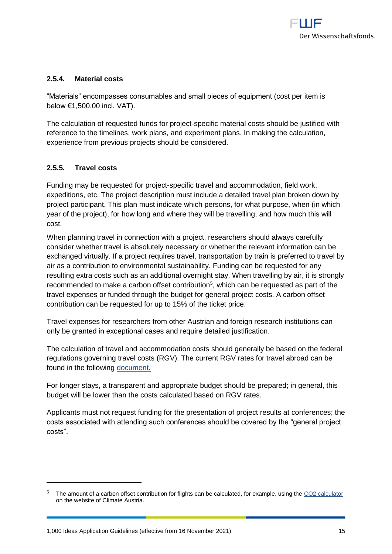

## <span id="page-14-0"></span>**2.5.4. Material costs**

"Materials" encompasses consumables and small pieces of equipment (cost per item is below €1,500.00 incl. VAT).

The calculation of requested funds for project-specific material costs should be justified with reference to the timelines, work plans, and experiment plans. In making the calculation, experience from previous projects should be considered.

## <span id="page-14-1"></span>**2.5.5. Travel costs**

 $\overline{a}$ 

Funding may be requested for project-specific travel and accommodation, field work, expeditions, etc. The project description must include a detailed travel plan broken down by project participant. This plan must indicate which persons, for what purpose, when (in which year of the project), for how long and where they will be travelling, and how much this will cost.

When planning travel in connection with a project, researchers should always carefully consider whether travel is absolutely necessary or whether the relevant information can be exchanged virtually. If a project requires travel, transportation by train is preferred to travel by air as a contribution to environmental sustainability. Funding can be requested for any resulting extra costs such as an additional overnight stay. When travelling by air, it is strongly recommended to make a carbon offset contribution<sup>5</sup>, which can be requested as part of the travel expenses or funded through the budget for general project costs. A carbon offset contribution can be requested for up to 15% of the ticket price.

Travel expenses for researchers from other Austrian and foreign research institutions can only be granted in exceptional cases and require detailed justification.

The calculation of travel and accommodation costs should generally be based on the federal regulations governing travel costs (RGV). The current RGV rates for travel abroad can be found in the following [document.](https://www.fwf.ac.at/fileadmin/files/Dokumente/Downloads/reisegeb.pdf)

For longer stays, a transparent and appropriate budget should be prepared; in general, this budget will be lower than the costs calculated based on RGV rates.

Applicants must not request funding for the presentation of project results at conferences; the costs associated with attending such conferences should be covered by the "general project costs".

The amount of a carbon offset contribution for flights can be calculated, for example, using the [CO2 calculator](https://co2calc.climateaustria.at/co2calculator/showAirports) on the website of Climate Austria.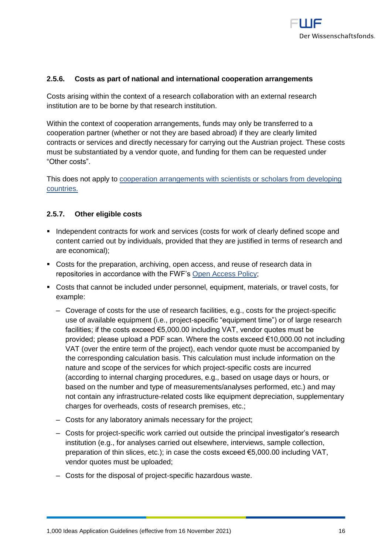

## <span id="page-15-0"></span>**2.5.6. Costs as part of national and international cooperation arrangements**

Costs arising within the context of a research collaboration with an external research institution are to be borne by that research institution.

Within the context of cooperation arrangements, funds may only be transferred to a cooperation partner (whether or not they are based abroad) if they are clearly limited contracts or services and directly necessary for carrying out the Austrian project. These costs must be substantiated by a vendor quote, and funding for them can be requested under "Other costs".

This does not apply to [cooperation arrangements with scientists or scholars from](https://www.fwf.ac.at/en/research-funding/fwf-programmes/international-programmes/developing-countries-projects/) developing [countries.](https://www.fwf.ac.at/en/research-funding/fwf-programmes/international-programmes/developing-countries-projects/)

#### <span id="page-15-1"></span>**2.5.7. Other eligible costs**

- Independent contracts for work and services (costs for work of clearly defined scope and content carried out by individuals, provided that they are justified in terms of research and are economical);
- Costs for the preparation, archiving, open access, and reuse of research data in repositories in accordance with the FWF's [Open Access Policy;](https://www.fwf.ac.at/en/research-funding/open-access-policy/)
- Costs that cannot be included under personnel, equipment, materials, or travel costs, for example:
	- ‒ Coverage of costs for the use of research facilities, e.g., costs for the project-specific use of available equipment (i.e., project-specific "equipment time") or of large research facilities; if the costs exceed €5,000.00 including VAT, vendor quotes must be provided; please upload a PDF scan. Where the costs exceed €10,000.00 not including VAT (over the entire term of the project), each vendor quote must be accompanied by the corresponding calculation basis. This calculation must include information on the nature and scope of the services for which project-specific costs are incurred (according to internal charging procedures, e.g., based on usage days or hours, or based on the number and type of measurements/analyses performed, etc.) and may not contain any infrastructure-related costs like equipment depreciation, supplementary charges for overheads, costs of research premises, etc.;
	- ‒ Costs for any laboratory animals necessary for the project;
	- ‒ Costs for project-specific work carried out outside the principal investigator's research institution (e.g., for analyses carried out elsewhere, interviews, sample collection, preparation of thin slices, etc.); in case the costs exceed €5,000.00 including VAT, vendor quotes must be uploaded;
	- ‒ Costs for the disposal of project-specific hazardous waste.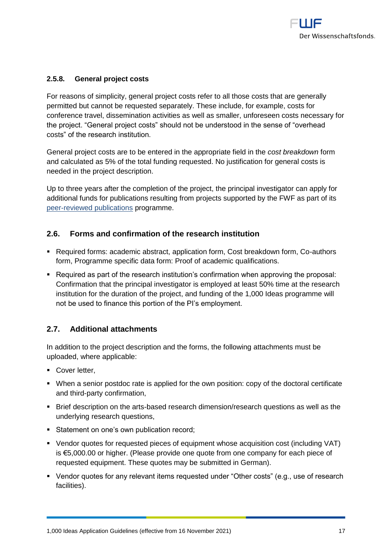

## <span id="page-16-0"></span>**2.5.8. General project costs**

For reasons of simplicity, general project costs refer to all those costs that are generally permitted but cannot be requested separately. These include, for example, costs for conference travel, dissemination activities as well as smaller, unforeseen costs necessary for the project. "General project costs" should not be understood in the sense of "overhead costs" of the research institution.

General project costs are to be entered in the appropriate field in the *cost breakdown* form and calculated as 5% of the total funding requested. No justification for general costs is needed in the project description.

Up to three years after the completion of the project, the principal investigator can apply for additional funds for publications resulting from projects supported by the FWF as part of its [peer-reviewed publications](https://www.fwf.ac.at/en/research-funding/fwf-programmes/peer-reviewed-publications/) programme.

## <span id="page-16-1"></span>**2.6. Forms and confirmation of the research institution**

- Required forms: academic abstract, application form, Cost breakdown form, Co-authors form, Programme specific data form: Proof of academic qualifications.
- Required as part of the research institution's confirmation when approving the proposal: Confirmation that the principal investigator is employed at least 50% time at the research institution for the duration of the project, and funding of the 1,000 Ideas programme will not be used to finance this portion of the PI's employment.

## <span id="page-16-2"></span>**2.7. Additional attachments**

In addition to the project description and the forms, the following attachments must be uploaded, where applicable:

- Cover letter,
- When a senior postdoc rate is applied for the own position: copy of the doctoral certificate and third-party confirmation,
- Brief description on the arts-based research dimension/research questions as well as the underlying research questions,
- Statement on one's own publication record;
- Vendor quotes for requested pieces of equipment whose acquisition cost (including VAT) is €5,000.00 or higher. (Please provide one quote from one company for each piece of requested equipment. These quotes may be submitted in German).
- Vendor quotes for any relevant items requested under "Other costs" (e.g., use of research facilities).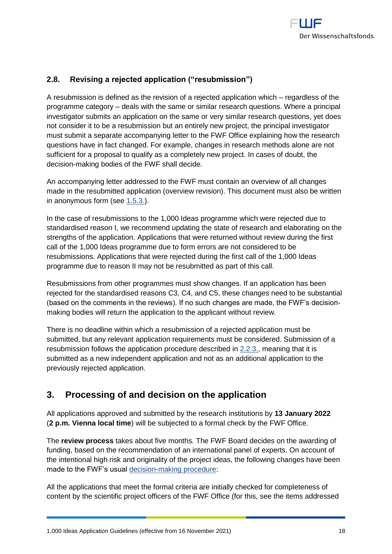## <span id="page-17-0"></span>**2.8. Revising a rejected application ("resubmission")**

A resubmission is defined as the revision of a rejected application which – regardless of the programme category – deals with the same or similar research questions. Where a principal investigator submits an application on the same or very similar research questions, yet does not consider it to be a resubmission but an entirely new project, the principal investigator must submit a separate accompanying letter to the FWF Office explaining how the research questions have in fact changed. For example, changes in research methods alone are not sufficient for a proposal to qualify as a completely new project. In cases of doubt, the decision-making bodies of the FWF shall decide.

An accompanying letter addressed to the FWF must contain an overview of all changes made in the resubmitted application (overview revision). This document must also be written in anonymous form (see [1.5.3.\)](#page-4-2).

In the case of resubmissions to the 1,000 Ideas programme which were rejected due to standardised reason I, we recommend updating the state of research and elaborating on the strengths of the application. Applications that were returned without review during the first call of the 1,000 Ideas programme due to form errors are not considered to be resubmissions. Applications that were rejected during the first call of the 1,000 Ideas programme due to reason II may not be resubmitted as part of this call.

Resubmissions from other programmes must show changes. If an application has been rejected for the standardised reasons C3, C4, and C5, these changes need to be substantial (based on the comments in the reviews). If no such changes are made, the FWF's decisionmaking bodies will return the application to the applicant without review.

There is no deadline within which a resubmission of a rejected application must be submitted, but any relevant application requirements must be considered. Submission of a resubmission follows the application procedure described in [2.2.3.,](#page-7-1) meaning that it is submitted as a new independent application and not as an additional application to the previously rejected application.

# <span id="page-17-1"></span>**3. Processing of and decision on the application**

All applications approved and submitted by the research institutions by **13 January 2022** (**2 p.m. Vienna local time**) will be subjected to a formal check by the FWF Office.

The **review process** takes about five months. The FWF Board decides on the awarding of funding, based on the recommendation of an international panel of experts. On account of the intentional high risk and originality of the project ideas, the following changes have been made to the FWF's usual [decision-making procedure:](https://www.fwf.ac.at/fileadmin/files/Dokumente/Entscheidung_Evaluation/fwf-decision-making-procedure.pdf)

All the applications that meet the formal criteria are initially checked for completeness of content by the scientific project officers of the FWF Office (for this, see the items addressed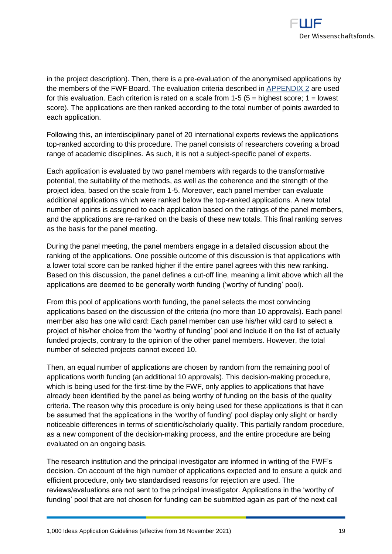in the project description). Then, there is a pre-evaluation of the anonymised applications by the members of the FWF Board. The evaluation criteria described in [APPENDIX](#page-22-0) 2 are used for this evaluation. Each criterion is rated on a scale from  $1-5$  ( $5 =$  highest score;  $1 =$  lowest score). The applications are then ranked according to the total number of points awarded to each application.

Following this, an interdisciplinary panel of 20 international experts reviews the applications top-ranked according to this procedure. The panel consists of researchers covering a broad range of academic disciplines. As such, it is not a subject-specific panel of experts.

Each application is evaluated by two panel members with regards to the transformative potential, the suitability of the methods, as well as the coherence and the strength of the project idea, based on the scale from 1-5. Moreover, each panel member can evaluate additional applications which were ranked below the top-ranked applications. A new total number of points is assigned to each application based on the ratings of the panel members, and the applications are re-ranked on the basis of these new totals. This final ranking serves as the basis for the panel meeting.

During the panel meeting, the panel members engage in a detailed discussion about the ranking of the applications. One possible outcome of this discussion is that applications with a lower total score can be ranked higher if the entire panel agrees with this new ranking. Based on this discussion, the panel defines a cut-off line, meaning a limit above which all the applications are deemed to be generally worth funding ('worthy of funding' pool).

From this pool of applications worth funding, the panel selects the most convincing applications based on the discussion of the criteria (no more than 10 approvals). Each panel member also has one wild card: Each panel member can use his/her wild card to select a project of his/her choice from the 'worthy of funding' pool and include it on the list of actually funded projects, contrary to the opinion of the other panel members. However, the total number of selected projects cannot exceed 10.

Then, an equal number of applications are chosen by random from the remaining pool of applications worth funding (an additional 10 approvals). This decision-making procedure, which is being used for the first-time by the FWF, only applies to applications that have already been identified by the panel as being worthy of funding on the basis of the quality criteria. The reason why this procedure is only being used for these applications is that it can be assumed that the applications in the 'worthy of funding' pool display only slight or hardly noticeable differences in terms of scientific/scholarly quality. This partially random procedure, as a new component of the decision-making process, and the entire procedure are being evaluated on an ongoing basis.

The research institution and the principal investigator are informed in writing of the FWF's decision. On account of the high number of applications expected and to ensure a quick and efficient procedure, only two standardised reasons for rejection are used. The reviews/evaluations are not sent to the principal investigator. Applications in the 'worthy of funding' pool that are not chosen for funding can be submitted again as part of the next call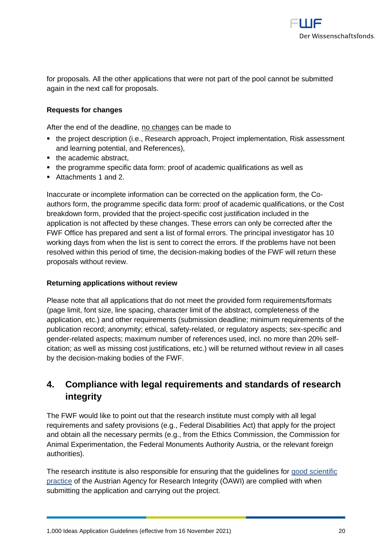

for proposals. All the other applications that were not part of the pool cannot be submitted again in the next call for proposals.

## **Requests for changes**

After the end of the deadline, no changes can be made to

- the project description (i.e., Research approach, Project implementation, Risk assessment and learning potential, and References),
- the academic abstract,
- the programme specific data form: proof of academic qualifications as well as
- Attachments 1 and 2.

Inaccurate or incomplete information can be corrected on the application form, the Coauthors form, the programme specific data form: proof of academic qualifications, or the Cost breakdown form, provided that the project-specific cost justification included in the application is not affected by these changes. These errors can only be corrected after the FWF Office has prepared and sent a list of formal errors. The principal investigator has 10 working days from when the list is sent to correct the errors. If the problems have not been resolved within this period of time, the decision-making bodies of the FWF will return these proposals without review.

## **Returning applications without review**

Please note that all applications that do not meet the provided form requirements/formats (page limit, font size, line spacing, character limit of the abstract, completeness of the application, etc.) and other requirements (submission deadline; minimum requirements of the publication record; anonymity; ethical, safety-related, or regulatory aspects; sex-specific and gender-related aspects; maximum number of references used, incl. no more than 20% selfcitation; as well as missing cost justifications, etc.) will be returned without review in all cases by the decision-making bodies of the FWF.

# <span id="page-19-0"></span>**4. Compliance with legal requirements and standards of research integrity**

The FWF would like to point out that the research institute must comply with all legal requirements and safety provisions (e.g., Federal Disabilities Act) that apply for the project and obtain all the necessary permits (e.g., from the Ethics Commission, the Commission for Animal Experimentation, the Federal Monuments Authority Austria, or the relevant foreign authorities).

The research institute is also responsible for ensuring that the guidelines for [good scientific](https://oeawi.at/en/guidelines/)  [practice](https://oeawi.at/en/guidelines/) of the Austrian Agency for Research Integrity (ÖAWI) are complied with when submitting the application and carrying out the project.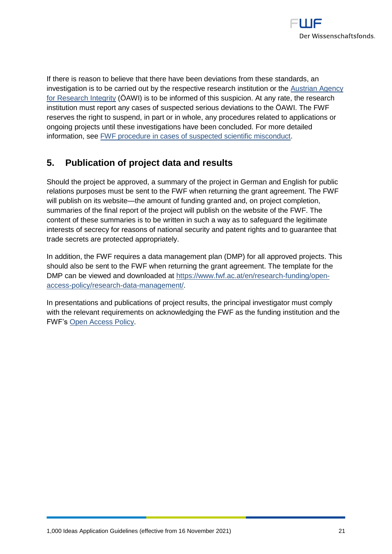

If there is reason to believe that there have been deviations from these standards, an investigation is to be carried out by the respective research institution or the [Austrian Agency](https://oeawi.at/en/)  [for Research Integrity](https://oeawi.at/en/) (ÖAWI) is to be informed of this suspicion. At any rate, the research institution must report any cases of suspected serious deviations to the ÖAWI. The FWF reserves the right to suspend, in part or in whole, any procedures related to applications or ongoing projects until these investigations have been concluded. For more detailed information, see [FWF procedure in cases of suspected scientific misconduct.](https://www.fwf.ac.at/fileadmin/files/Dokumente/Research_Integrity_Ethics/FWF_Verfahren_Research_Misconduct-en.pdf)

# <span id="page-20-0"></span>**5. Publication of project data and results**

Should the project be approved, a summary of the project in German and English for public relations purposes must be sent to the FWF when returning the grant agreement. The FWF will publish on its website—the amount of funding granted and, on project completion, summaries of the final report of the project will publish on the website of the FWF. The content of these summaries is to be written in such a way as to safeguard the legitimate interests of secrecy for reasons of national security and patent rights and to guarantee that trade secrets are protected appropriately.

In addition, the FWF requires a data management plan (DMP) for all approved projects. This should also be sent to the FWF when returning the grant agreement. The template for the DMP can be viewed and downloaded at [https://www.fwf.ac.at/en/research-funding/open](https://www.fwf.ac.at/en/research-funding/open-access-policy/research-data-management/)[access-policy/research-data-management/.](https://www.fwf.ac.at/en/research-funding/open-access-policy/research-data-management/)

In presentations and publications of project results, the principal investigator must comply with the relevant requirements on acknowledging the FWF as the funding institution and the FWF's [Open Access Policy.](https://www.fwf.ac.at/en/research-funding/open-access-policy/)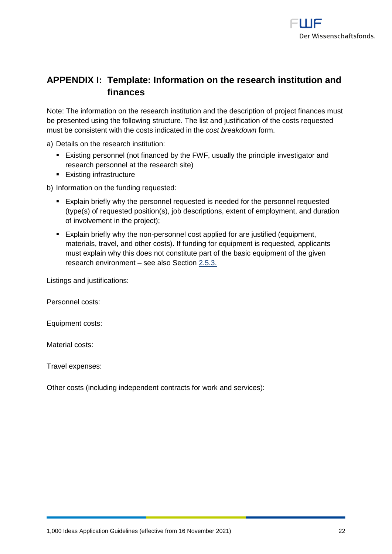

# <span id="page-21-0"></span>**APPENDIX I: Template: Information on the research institution and finances**

Note: The information on the research institution and the description of project finances must be presented using the following structure. The list and justification of the costs requested must be consistent with the costs indicated in the *cost breakdown* form.

a) Details on the research institution:

- Existing personnel (not financed by the FWF, usually the principle investigator and research personnel at the research site)
- Existing infrastructure

b) Information on the funding requested:

- Explain briefly why the personnel requested is needed for the personnel requested (type(s) of requested position(s), job descriptions, extent of employment, and duration of involvement in the project);
- Explain briefly why the non-personnel cost applied for are justified (equipment, materials, travel, and other costs). If funding for equipment is requested, applicants must explain why this does not constitute part of the basic equipment of the given research environment – see also Section [2.5.3.](#page-13-0)

Listings and justifications:

Personnel costs:

Equipment costs:

Material costs:

Travel expenses:

Other costs (including independent contracts for work and services):